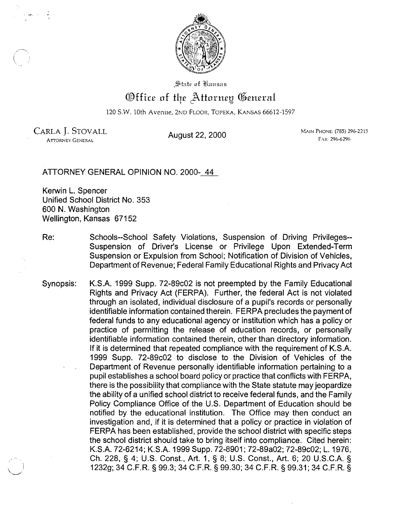

State of Eausas

## Office of the Attorney General

120 S.W. 10th Avenue, 2ND FLOOR, TOPEKA, KANSAS 66612-1597

CARLA J. STOVALL **August 22, 2000** MAIN PHONE: (785) 296-2215<br>Attorney General **August 22, 2000** And An-ORNEY GENERAL

ATTORNEY GENERAL OPINION NO. 2000- 44

Kerwin L. Spencer Unified School District No. 353 600 N. Washington Wellington, Kansas 67152

- Re: Schools--School Safety Violations, Suspension of Driving Privileges--Suspension of Driver's License or Privilege Upon Extended-Term Suspension or Expulsion from School; Notification of Division of Vehicles, Department of Revenue; Federal Family Educational Rights and Privacy Act
- Synopsis: K.S.A. 1999 Supp. 72-89c02 is not preempted by the Family Educational Rights and Privacy Act (FERPA). Further, the federal Act is not violated through an isolated, individual disclosure of a pupil's records or personally identifiable information contained therein. FERPA precludes the payment of federal funds to any educational agency or institution which has a policy or practice of permitting the release of education records, or personally identifiable information contained therein, other than directory information. If it is determined that repeated compliance with the requirement of K.S.A. 1999 Supp. 72-89c02 to disclose to the Division of Vehicles of the Department of Revenue personally identifiable information pertaining to a pupil establishes a school board policy or practice that conflicts with FERPA, there is the possibility that compliance with the State statute may jeopardize the ability of a unified school district to receive federal funds, and the Family Policy Compliance Office of the U.S. Department of Education should be notified by the educational institution. The Office may then conduct an investigation and, if it is determined that a policy or practice in violation of FERPA has been established, provide the school district with specific steps the school district should take to bring itself into compliance. Cited herein: K.S.A. 72-6214; K.S.A. 1999 Supp. 72-8901; 72-89a02; 72-89c02; L. 1976, Ch. 228, § 4; U.S. Const., Art. 1, § 8; U.S. Const., Art. 6; 20 U.S.C.A. § \\_..-) 1232g; 34 C.F.R. § 99.3; 34 C.F.R. § 99.30; 34 C.F.R. § 99.31; 34 C.F.R. §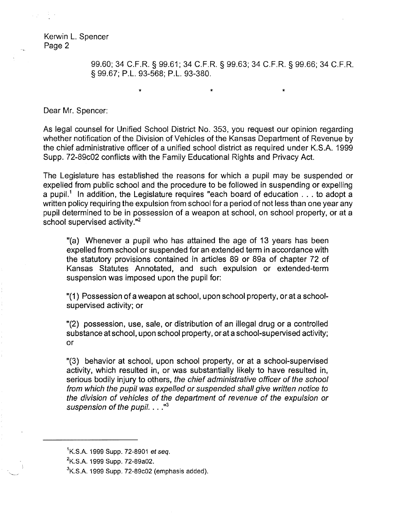> 99.60; 34 C.F.R. § 99.61; 34 C.F.R. § 99.63; 34 C.F.R. § 99.66; 34 C.F.R. § 99.67; P.L. 93-568; P.L. 93-380.

> > $\star$   $\star$   $\star$   $\star$

Dear Mr. Spencer:

As legal counsel for Unified School District No. 353, you request our opinion regarding whether notification of the Division of Vehicles of the Kansas Department of Revenue by the chief administrative officer of a unified school district as required under K.S.A. 1999 Supp. 72-89c02 conflicts with the Family Educational Rights and Privacy Act.

The Legislature has established the reasons for which a pupil may be suspended or expelled from public school and the procedure to be followed in suspending or expelling a pupil.<sup>1</sup> In addition, the Legislature requires "each board of education . . . to adopt a written policy requiring the expulsion from school for a period of not less than one year any pupil determined to be in possession of a weapon at school, on school property, or at a school supervised activity."<sup>2</sup>

"(a) Whenever a pupil who has attained the age of 13 years has been expelled from school or suspended for an extended term in accordance with the statutory provisions contained in articles 89 or 89a of chapter 72 of Kansas Statutes Annotated, and such expulsion or extended-term suspension was imposed upon the pupil for:

"(1) Possession of a weapon at school, upon school property, or at a schoolsupervised activity; or

"(2) possession, use, sale, or distribution of an illegal drug or a controlled substance at school, upon school property, or at a school-supervised activity; or

"(3) behavior at school, upon school property, or at a school-supervised activity, which resulted in, or was substantially likely to have resulted in, serious bodily injury to others, the chief administrative officer of the school from which the pupil was expelled or suspended shall give written notice to the division of vehicles of the department of revenue of the expulsion or suspension of the pupil.  $\ldots$ <sup>3</sup>

<sup>&</sup>lt;sup>1</sup>K.S.A. 1999 Supp. 72-8901 et seq.

<sup>&</sup>lt;sup>2</sup>K.S.A. 1999 Supp. 72-89a02.

 $3$ K.S.A. 1999 Supp. 72-89 $c02$  (emphasis added).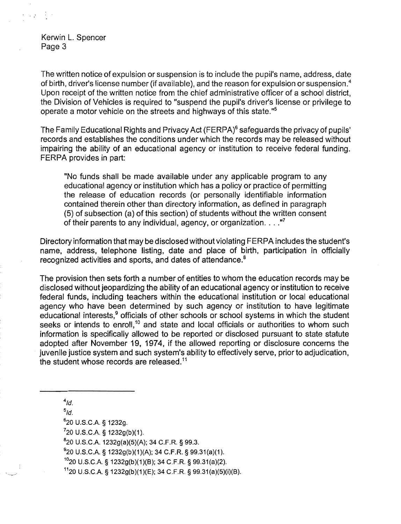$\mathcal{L}(\mathcal{A})$  , where  $\mathcal{A}$ 

The written notice of expulsion or suspension is to include the pupil's name, address, date of birth, driver's license number (if available). and the reason for expulsion or suspension. <sup>4</sup> Upon receipt of the written notice from the chief administrative officer of a school district, the Division of Vehicles is required to "suspend the pupil's driver's license or privilege to operate a motor vehicle on the streets and highways of this state."<sup>5</sup>

The Family Educational Rights and Privacy Act {FERPA)6 safeguards the privacy of pupils' records and establishes the conditions under which the records may be released without impairing the ability of an educational agency or institution to receive federal funding. FERPA provides in part:

fiNo funds shall be made available under any applicable program to any educational agency or institution which has a policy or practice of permitting the release of education records (or personally identifiable information contained therein other than directory information, as defined in paragraph  $(5)$  of subsection  $(a)$  of this section) of students without the written consent of their parents to any individual, agency, or organization.  $\dots$ ."

Directory information that may be disclosed without violating FERPA includes the student's name, address, telephone listing, date and place of birth, participation in officially recognized activities and sports, and dates of attendance.<sup>8</sup>

The provision then sets forth a number of entities to whom the education records may be disclosed without jeopardizing the ability of an educational agency or institution to receive federal funds, including teachers within the educational institution or local educational agency who have been determined by such agency or institution to have legitimate educational interests,<sup>9</sup> officials of other schools or school systems in which the student seeks or intends to enroll,<sup>10</sup> and state and local officials or authorities to whom such information is specifically allowed to be reported or disclosed pursuant to state statute adopted after November 19, 1974, if the allowed reporting or disclosure concerns the juvenile justice system and such system's ability to effectively serve, prior to adjudication, the student whose records are released.<sup>11</sup>

 $4/d$ .

 $5\overline{1}d$ . 6 20 U.S.C.A. § 1232g.

 $720$  U.S.C.A. § 1232g(b)(1).

 $8$ <sup>8</sup> 20 U.S.C.A. 1232g(a)(5)(A); 34 C.F.R. § 99.3.

 $920$  U.S.C.A. § 1232g(b)(1)(A); 34 C.F.R. § 99.31(a)(1).

1°20 U.S.CA § 1232g(b)(1)(8); 34 C.F.R. § 99.31 (a)(2).

1120 U.S.CA § 1232g(b)(1)(E); 34 C.F.R. § 99.31 (a)(5)(i)(8).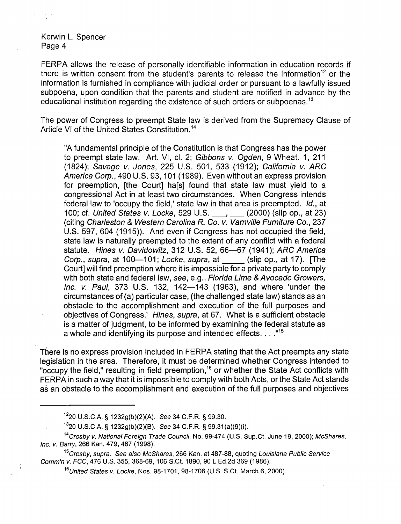FERPA allows the release of personally identifiable information in education records if there is written consent from the student's parents to release the information<sup>12</sup> or the information is furnished in compliance with judicial order or pursuant to a lawfully issued subpoena, upon condition that the parents and student are notified in advance by the educational institution regarding the existence of such orders or subpoenas.<sup>13</sup>

The power of Congress to preempt State law is derived from the Supremacy Clause of Article VI of the United States Constitution.<sup>14</sup>

"A fundamental principle of the Constitution is that Congress has the power to preempt state law. Art. VI, cl. 2; Gibbons v. Ogden, 9 Wheat. 1, 211 (1824); Savage v. Jones, 225 U.S. 501, 533 (1912); California v. ARC America Corp., 490 U.S. 93,101 (1989). Even without an express provision for preemption, [the Court] ha[s] found that state law must yield to a congressional Act in at least two circumstances. When Congress intends federal law to 'occupy the field,' state law in that area is preempted. Id., at 100; cf. United States v. Locke, 529 U.S. \_\_, \_\_ (2000) (slip op., at 23) (citing Charleston & Western Carolina R. Co. v. Varnville Furniture Co., 237 U.S. 597, 604 (1915)). And even if Congress has not occupied the field, state law is naturally preempted to the extent of any conflict with a federal statute. Hines v. Davidowitz, 312 U.S. 52, 66-67 (1941); ARC America Corp., supra, at 100–101; Locke, supra, at (slip op., at 17). [The Court] will find preemption where it is impossible for a private party to comply with both state and federal law, see, e.g., Florida Lime & Avocado Growers, Inc. v. Paul, 373 U.S. 132, 142–143 (1963), and where 'under the circumstances of (a) particular case, (the challenged state law) stands as an obstacle to the accomplishment and execution of the full purposes and objectives of Congress.' Hines, supra, at 67. What is a sufficient obstacle is a matter of judgment, to be informed by examining the federal statute as a whole and identifying its purpose and intended effects...."<sup>15</sup>

There is no express provision included in FERPA stating that the Act preempts any state legislation in the area. Therefore, it must be determined whether Congress intended to "occupy the field," resulting in field preemption,<sup>16</sup> or whether the State Act conflicts with FERPA in such a way that it is impossible to comply with both Acts, or the State Act stands as an obstacle to the accomplishment and execution of the full purposes and objectives

<sup>1220</sup> U.S.C.A. § 1232g(b)(2)(A). See 34 C.F.R. § 99.30.

<sup>1320</sup> U.S.C.A. § 1232g(b)(2)(8). See 34 C.F.R. § 99.31 (a)(9)(i).

<sup>&</sup>lt;sup>14</sup>Crosby v. National Foreign Trade Council, No. 99-474 (U.S. Sup.Ct. June 19, 2000); McShares, Inc. *v.* Barry, 266 Kan. 479, 487 (1998).

<sup>&</sup>lt;sup>15</sup>Crosby, supra. See also McShares, 266 Kan. at 487-88, quoting Louisiana Public Service Comm'n v. FCC, 476 U.S. 355, 368-69,106 S.Ct. 1890,90 L.Ed.2d 369 (1986).

 $16$ United States v. Locke, Nos. 98-1701, 98-1706 (U.S. S.Ct. March 6, 2000).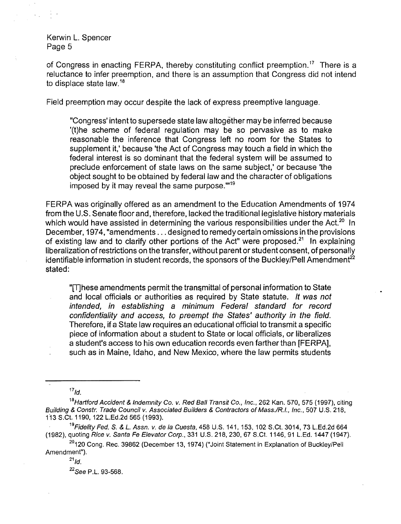$\frac{1}{2}$  ,  $\frac{1}{2}$ 

of Congress in enacting FERPA, thereby constituting conflict preemption.<sup>17</sup> There is a reluctance to infer preemption, and there is an assumption that Congress did not intend to displace state law.<sup>18</sup>

Field preemption may occur despite the lack of express preemptive language.

"Congress' intent to supersede state law altogether may be inferred because '(t)he scheme of federal regulation may be so pervasive as to make reasonable the inference that Congress left no room for the States to supplement it,' because 'the Act of Congress may touch a field in which the federal interest is so dominant that the federal system will be assumed to preclude enforcement of state laws on the same subject,' or because 'the object sought to be obtained by federal law and the character of obligations imposed by it may reveal the same purpose. $m_{19}$ 

FERPA was originally offered as an amendment to the Education Amendments of 1974 from the U.S. Senate floor and, therefore, lacked the traditional legislative history materials which would have assisted in determining the various responsibilities under the Act.<sup>20</sup> In December, 1974, "amendments ... designed to remedy certain omissions in the provisions of existing law and to clarify other portions of the Act" were proposed.<sup>21</sup> In explaining liberalization of restrictions on the transfer, without parent or student consent, of personally identifiable information in student records, the sponsors of the Buckley/Pell Amendment<sup>22</sup> stated:

"[T]hese amendments permit the transmittal of personal information to State and local officials or authorities as required by State statute. It was not intended, in establishing a minimum Federal standard for record confidentiality and access, to preempt the States' authority in the field. Therefore, if a State law requires an educational official to transmit a specific piece of information about a student to State or local officials, or liberalizes a student's access to his own education records even farther than [FERPA], such as in Maine, Idaho, and New Mexico, where the law permits students

 $17<sub>ld</sub>$ 

<sup>&</sup>lt;sup>18</sup>Hartford Accident & Indemnity Co. v. Red Ball Transit Co., Inc., 262 Kan. 570, 575 (1997), citing Building & Constr. Trade Council v. Associated Builders & Contractors of Mass./R.I., Inc., 507 U.S. 218, 113 S.Ct. 1190. 122 L.Ed.2d 565 (1993).

<sup>19</sup>Fidelity Fed. S. & L. Assn. v. de la Cuesta, 458 U.S. 141, 153, 102 S.Ct. 3014, 73 L.Ed.2d 664 (1982). quoting Rice v. Santa Fe Elevator Corp., 331 U.S. 218, 230. 67 S.Ct. 1146,91 L.Ed. 1447 (1947).

<sup>&</sup>lt;sup>20</sup>120 Cong. Rec. 39862 (December 13, 1974) ("Joint Statement in Explanation of Buckley/Pell Amendment").

 $^{21}$ *ld*.

<sup>22</sup>See P.L. 93-568.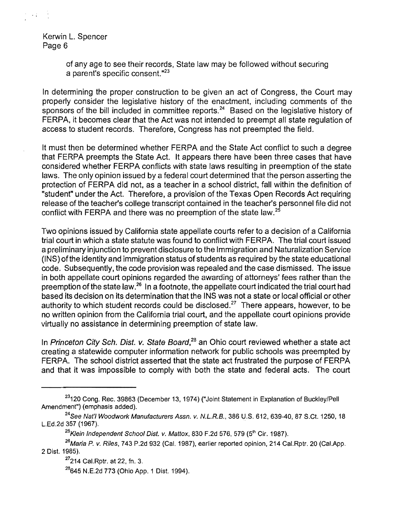> of any age to see their records, State law may be followed without securing a parent's specific consent."<sup>23</sup>

In determining the proper construction to be given an act of Congress, the Court may properly consider the legislative history of the enactment, including comments of the sponsors of the bill included in committee reports.<sup>24</sup> Based on the legislative history of FERPA, it becomes clear that the Act was not intended to preempt all state regulation of access to student records. Therefore, Congress has not preempted the field.

It must then be determined whether FERPA and the State Act conflict to such a degree that FERPA preempts the State Act. It appears there have been three cases that have considered whether FERPA conflicts with state laws resulting in preemption of the state laws. The only opinion issued by a federal court determined that the person asserting the protection of FERPA did not, as a teacher in a school district, fall within the definition of "student" under the Act. Therefore, a provision of the Texas Open Records Act requiring release of the teacher's college transcript contained in the teacher's personnel file did not conflict with FERPA and there was no preemption of the state law.<sup>25</sup>

Two opinions issued by California state appellate courts refer to a decision of a California trial court in which a state statute was found to conflict with FERPA. The trial court issued a preliminary injunction to prevent disclosure to the Immigration and Naturalization Service (INS) ofthe identity and immigration status of students as required by the state educational code. Subsequently, the code provision was repealed and the case dismissed. The issue in both appellate court opinions regarded the awarding of attorneys' fees rather than the preemption of the state law.<sup>26</sup> In a footnote, the appellate court indicated the trial court had based its decision on its determination that the INS was not a state or local official or other authority to which student records could be disclosed.<sup>27</sup> There appears, however, to be no written opinion from the California trial court, and the appellate court opinions provide virtually no assistance in determining preemption of state law.

In Princeton City Sch. Dist. v. State Board,<sup>28</sup> an Ohio court reviewed whether a state act creating a statewide computer information network for public schools was preempted by FERPA. The school district asserted that the state act frustrated the purpose of FERPA and that it was impossible to comply with both the state and federal acts. The court

<sup>&</sup>lt;sup>23</sup>120 Cong. Rec. 39863 (December 13, 1974) ("Joint Statement in Explanation of Buckley/Pell Amendment") (emphasis added).

 $24$ See Nat'l Woodwork Manufacturers Assn. v. N.L.R.B., 386 U.S. 612, 639-40, 87 S.Ct. 1250, 18 L.Ed.2d 357 (1967).

<sup>&</sup>lt;sup>25</sup>Klein Independent School Dist. v. Mattox, 830 F.2d 576, 579 (5<sup>th</sup> Cir. 1987).

 $^{26}$ Maria P. v. Riles, 743 P.2d 932 (Cal. 1987), earlier reported opinion, 214 Cal.Rptr. 20 (Cal.App. 2 Dist. 1985).

<sup>&</sup>lt;sup>27</sup>214 Cal.Rptr. at 22, fn. 3.

<sup>&</sup>lt;sup>28</sup>645 N.E.2d 773 (Ohio App. 1 Dist. 1994).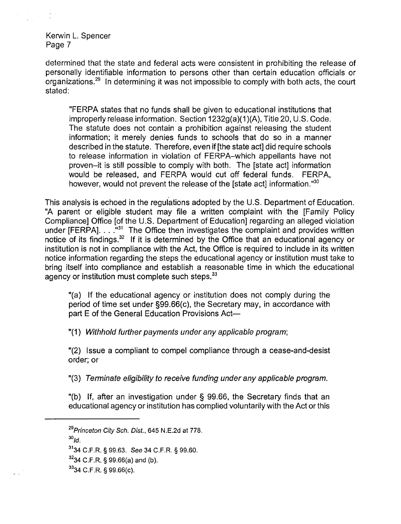determined that the state and federal acts were consistent in prohibiting the release of personally identifiable information to persons other than certain education officials or organizations.29 In determining it was not impossible to comply with both acts, the court stated:

"FERPA states that no funds shall be given to educational institutions that improperly release information. Section 1232g(a)(1 )(A), Title 20, U.S. Code. The statute does not contain a prohibition against releasing the student information; it merely denies funds to schools that do so in a manner described in the statute. Therefore, even if [the state act] did require schools to release information in violation of FERPA-which appellants have not proven-it is still possible to comply with both. The [state act] information would be released, and FERPA would cut off federal funds. FERPA, however, would not prevent the release of the [state act] information."<sup>30</sup>

This analysis is echoed in the regulations adopted by the U.S. Department of Education. "A parent or eligible student may file a written complaint with the [Family Policy Compliance] Office [of the U.S. Department of Education] regarding an alleged violation under [FERPA].  $\ldots$ <sup>31</sup> The Office then investigates the complaint and provides written notice of its findings.<sup>32</sup> If it is determined by the Office that an educational agency or institution is not in compliance with the Act, the Office is required to include in its written notice information regarding the steps the educational agency or institution must take to bring itself into compliance and establish a reasonable time in which the educational agency or institution must complete such steps.<sup>33</sup>

"(a) If the educational agency or institution does not comply during the period of time set under §99.66(c), the Secretary may, in accordance with part E of the General Education Provisions Act

"(1) Withhold further payments under any applicable program;

"(2) Issue a compliant to compel compliance through a cease-and-desist order; or

"(3) Terminate eligibility to receive funding under any applicable program.

"(b) If, after an investigation under  $\S$  99.66, the Secretary finds that an educational agency or institution has complied voluntarily with the Act or this

 $^{30}$ *Id.* 

- 3234 C.F.R. § 99.66(a) and (b).
- 3334 C.F.R. § 99.66(c).

<sup>&</sup>lt;sup>29</sup>Princeton City Sch. Dist., 645 N.E.2d at 778.

<sup>31</sup>34 C.F.R. § 99.63. See 34 C.F.R. § 99.60.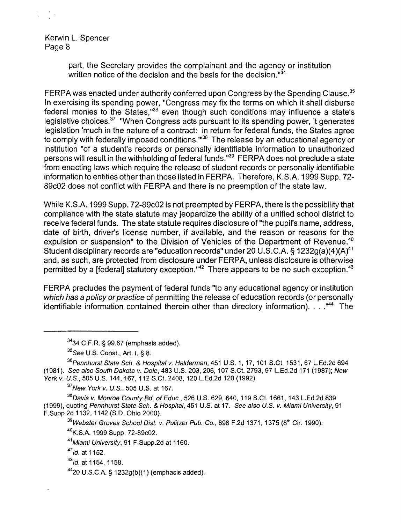> part, the Secretary provides the complainant and the agency or institution written notice of the decision and the basis for the decision. $34$

FERPA was enacted under authority conferred upon Congress by the Spending Clause.<sup>35</sup> In exercising its spending power, "Congress may fix the terms on which it shall disburse federal monies to the States," $36$  even though such conditions may influence a state's legislative choices.<sup>37</sup> "When Congress acts pursuant to its spending power, it generates legislation 'much in the nature of a contract: in return for federal funds, the States agree to comply with federally imposed conditions."<sup>38</sup> The release by an educational agency or institution "of a student's records or personally identifiable information to unauthorized persons will result in the withholding of federal funds.<sup>"39</sup> FERPA does not preclude a state from enacting laws which require the release of student records or personally identifiable information to entities other than those listed in FERPA. Therefore, K.S.A. 1999 Supp. 72 89c02 does not conflict with FERPA and there is no preemption of the state law.

While K.S.A. 1999 Supp. 72-89c02 is not preempted by FERPA, there is the possibility that compliance with the state statute may jeopardize the ability of a unified school district to receive federal funds. The state statute requires disclosure of "the pupil's name, address, date of birth, driver's license number, if available, and the reason or reasons for the expulsion or suspension" to the Division of Vehicles of the Department of Revenue.<sup>40</sup> Student disciplinary records are "education records" under 20 U.S.C.A. § 1232g(a)(4)(A)<sup>41</sup> and, as such, are protected from disclosure under FERPA, unless disclosure is otherwise permitted by a [federal] statutory exception."<sup>42</sup> There appears to be no such exception.<sup>43</sup>

FERPA precludes the payment of federal funds "to any educational agency or institution which has a policy or practice of permitting the release of education records (or personally identifiable information contained therein other than directory information). . . . "<sup>44</sup> The

<sup>37</sup>New York v. U.S., 505 U.S. at 167.

 $38$ Davis v. Monroe County Bd. of Educ., 526 U.S. 629, 640, 119 S.Ct. 1661, 143 L.Ed.2d 839 (1999), quoting Pennhurst State Sch. & Hospital, 451 U.S. at 17. See also U.S. v. Miami University, 91 F.Supp.2d 1132, 1142 (S.D. Ohio 2000).

 $39$ Webster Groves School Dist. v. Pulitzer Pub. Co., 898 F.2d 1371, 1375 (8<sup>th</sup> Cir. 1990).

<sup>40</sup>K.SA 1999 Supp. 72-89c02.

41Miami University, 91 F.Supp.2d at 1160.

*<sup>42</sup>*,d.at 1152.

*<sup>43</sup>*1d. at 1154, 1158.

4420 U.S.C.A. § 1232g(b)(1) (emphasis added).

<sup>3434</sup> C.F.R. § 99.67 (emphasis added).

<sup>35</sup>See U.S. Const., Art. I, § 8.

<sup>&</sup>lt;sup>36</sup> Pennhurst State Sch. & Hospital v. Halderman, 451 U.S. 1, 17, 101 S.Ct. 1531, 67 L.Ed.2d 694 (1981). See also South Dakota v. Dole, 483 U.S. 203,206,107 S.Ct. 2793, 97 L.Ed.2d 171 (1987); New York v. U.S., 505 U.S. 144, 167, 112 S.Ct. 2408. 120 L.Ed.2d 120 (1992).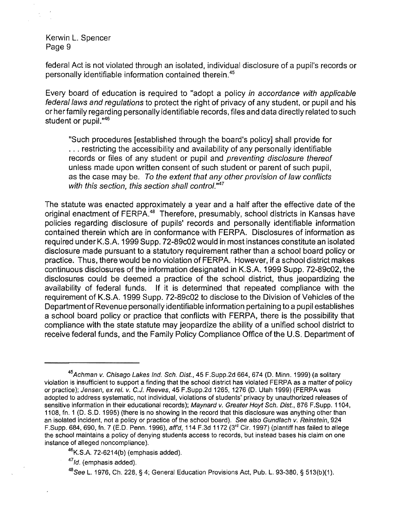federal Act is not violated through an isolated, individual disclosure of a pupil's records or personally identifiable information contained therein.<sup>45</sup>

Every board of education is required to "adopt a policy in accordance with applicable federal laws and regulations to protect the right of privacy of any student, or pupil and his or her family regarding personally identifiable records, files and data directly related to such student or pupil.<sup>"46</sup>

"Such procedures [established through the board's policy] shall provide for ... restricting the accessibility and availability of any personally identifiable records or files of any student or pupil and preventing disclosure thereof unless made upon written consent of such student or parent of such pupil, as the case may be. To the extent that any other provision of law conflicts with this section, this section shall control.<sup>"47</sup>

The statute was enacted approximately a year and a half after the effective date of the original enactment of FERPA.<sup>48</sup> Therefore, presumably, school districts in Kansas have policies regarding disclosure of pupils' records and personally identifiable information contained therein which are in conformance with FERPA. Disclosures of information as required under K.S.A 1999 Supp. 72-89c02 would in most instances constitute an isolated disclosure made pursuant to a statutory requirement rather than a school board policy or practice. Thus, there would be no violation of FERPA. However, if a school district makes continuous disclosures of the information designated in K.S.A. 1999 Supp. 72-89c02, the disclosures could be deemed a practice of the school district, thus jeopardizing the availability of federal funds. If it is determined that repeated compliance with the requirement of K.S.A 1999 Supp. 72-89c02 to disclose to the Division of Vehicles of the Department of Revenue personally identifiable information pertaining to a pupil establishes a school board policy or practice that conflicts with FERPA, there is the possibility that compliance with the state statute may jeopardize the ability of a unified school district to receive federal funds, and the Family Policy Compliance Office of the U.S. Department of

 $46$ K.S.A. 72-6214(b) (emphasis added).

*47*1d. (emphasis added).

<sup>&</sup>lt;sup>45</sup>Achman v. Chisago Lakes Ind. Sch. Dist., 45 F.Supp.2d 664, 674 (D. Minn. 1999) (a solitary violation is insufficient to support a finding that the school district has violated FERPA as a matter of policy or practice); Jensen, ex reI. v. C.J. Reeves, 45 F.Supp.2d 1265,1276 (D. Utah 1999) (FERPAwas adopted to address systematic, not individual, violations of students' privacy by unauthorized releases of sensitive information in their educational records); Maynard v. Greater Hoyt Sch. Dist., 876 F.Supp. 1104, 1108, fn. 1 (D. S.D. 1995) (there is no showing in the record that this disclosure was anything other than an isolated incident, not a policy or practice of the school board). See also Gundlach v. Reinstein, *924*  F.Supp. 684, 690, fn. 7 (E.D. Penn. 1996), affd, 114 F.3d 1172 (3rd Cir. 1997) (plantiff has failed to allege the school maintains a policy of denying students access to records, but instead bases his claim on one instance of alleged noncompliance).

*<sup>48</sup>*See L. 1976, Ch. 228, § 4; General Education Provisions Act, PUb. L. 93-380, § 513(b)(1).